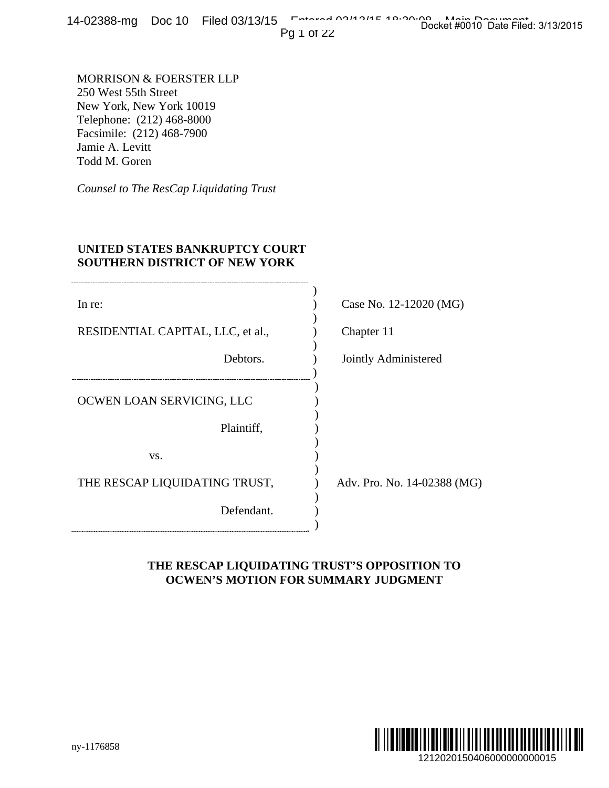14-02388-mg Doc 10 Filed 03/13/15 Entered 03/13/15 Docket #0010 Date Filed: 3/13/2015

# **UNITED STATES BANKRUPTCY COURT SOUTHERN DISTRICT OF NEW YORK**

| $4$ -UZ300-THG DUC IO FIIEU U3/I3/I3                                                                                                                                      | Docket #0010 Date Filed: 3/13/2015<br>Pg 1 of 22                                           |
|---------------------------------------------------------------------------------------------------------------------------------------------------------------------------|--------------------------------------------------------------------------------------------|
| MORRISON & FOERSTER LLP<br>250 West 55th Street<br>New York, New York 10019<br>Telephone: (212) 468-8000<br>Facsimile: (212) 468-7900<br>Jamie A. Levitt<br>Todd M. Goren |                                                                                            |
| Counsel to The ResCap Liquidating Trust                                                                                                                                   |                                                                                            |
| UNITED STATES BANKRUPTCY COURT<br><b>SOUTHERN DISTRICT OF NEW YORK</b>                                                                                                    |                                                                                            |
| In re:                                                                                                                                                                    | Case No. 12-12020 (MG)                                                                     |
| RESIDENTIAL CAPITAL, LLC, et al.,                                                                                                                                         | Chapter 11                                                                                 |
| Debtors.                                                                                                                                                                  | Jointly Administered                                                                       |
| OCWEN LOAN SERVICING, LLC                                                                                                                                                 |                                                                                            |
| Plaintiff,                                                                                                                                                                |                                                                                            |
| VS.                                                                                                                                                                       |                                                                                            |
| THE RESCAP LIQUIDATING TRUST,                                                                                                                                             | Adv. Pro. No. 14-02388 (MG)                                                                |
| Defendant.                                                                                                                                                                |                                                                                            |
|                                                                                                                                                                           | THE RESCAP LIQUIDATING TRUST'S OPPOSITION TO<br><b>OCWEN'S MOTION FOR SUMMARY JUDGMENT</b> |
| ny-1176858                                                                                                                                                                | WWW                                                                                        |
|                                                                                                                                                                           | 1212020150406000000000015                                                                  |

# **THE RESCAP LIQUIDATING TRUST'S OPPOSITION TO OCWEN'S MOTION FOR SUMMARY JUDGMENT**

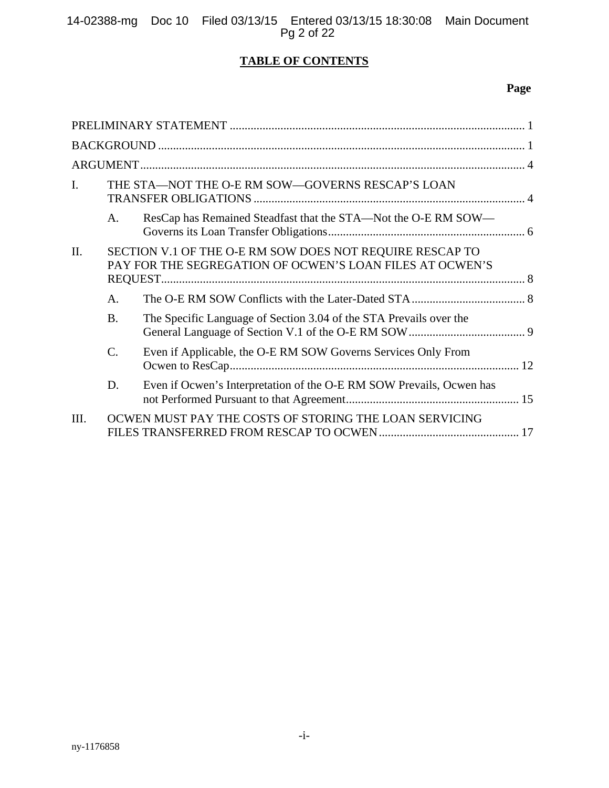14-02388-mg Doc 10 Filed 03/13/15 Entered 03/13/15 18:30:08 Main Document Pg 2 of 22

# **TABLE OF CONTENTS**

# **Page**

| $\mathbf{I}$ . |                                                                                                                      | THE STA-NOT THE O-E RM SOW-GOVERNS RESCAP'S LOAN                     |  |  |
|----------------|----------------------------------------------------------------------------------------------------------------------|----------------------------------------------------------------------|--|--|
|                | A.                                                                                                                   | ResCap has Remained Steadfast that the STA—Not the O-E RM SOW—       |  |  |
| II.            | SECTION V.1 OF THE O-E RM SOW DOES NOT REQUIRE RESCAP TO<br>PAY FOR THE SEGREGATION OF OCWEN'S LOAN FILES AT OCWEN'S |                                                                      |  |  |
|                | A <sub>1</sub>                                                                                                       |                                                                      |  |  |
|                | <b>B.</b>                                                                                                            | The Specific Language of Section 3.04 of the STA Prevails over the   |  |  |
|                | C.                                                                                                                   | Even if Applicable, the O-E RM SOW Governs Services Only From        |  |  |
|                | D.                                                                                                                   | Even if Ocwen's Interpretation of the O-E RM SOW Prevails, Ocwen has |  |  |
| Ш.             |                                                                                                                      | OCWEN MUST PAY THE COSTS OF STORING THE LOAN SERVICING               |  |  |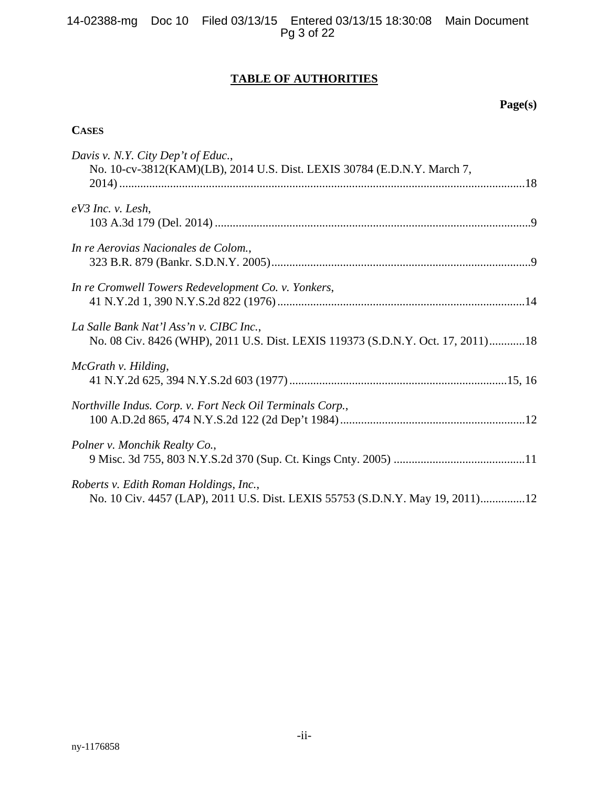# **TABLE OF AUTHORITIES**

# **Page(s)**

# **CASES**

| Davis v. N.Y. City Dep't of Educ.,<br>No. 10-cv-3812(KAM)(LB), 2014 U.S. Dist. LEXIS 30784 (E.D.N.Y. March 7,              |
|----------------------------------------------------------------------------------------------------------------------------|
| $eV3$ Inc. v. Lesh,                                                                                                        |
| In re Aerovias Nacionales de Colom.,                                                                                       |
| In re Cromwell Towers Redevelopment Co. v. Yonkers,                                                                        |
| La Salle Bank Nat'l Ass'n v. CIBC Inc.,<br>No. 08 Civ. 8426 (WHP), 2011 U.S. Dist. LEXIS 119373 (S.D.N.Y. Oct. 17, 2011)18 |
| McGrath v. Hilding,                                                                                                        |
| Northville Indus. Corp. v. Fort Neck Oil Terminals Corp.,                                                                  |
| Polner v. Monchik Realty Co.,                                                                                              |
| Roberts v. Edith Roman Holdings, Inc.,<br>No. 10 Civ. 4457 (LAP), 2011 U.S. Dist. LEXIS 55753 (S.D.N.Y. May 19, 2011)12    |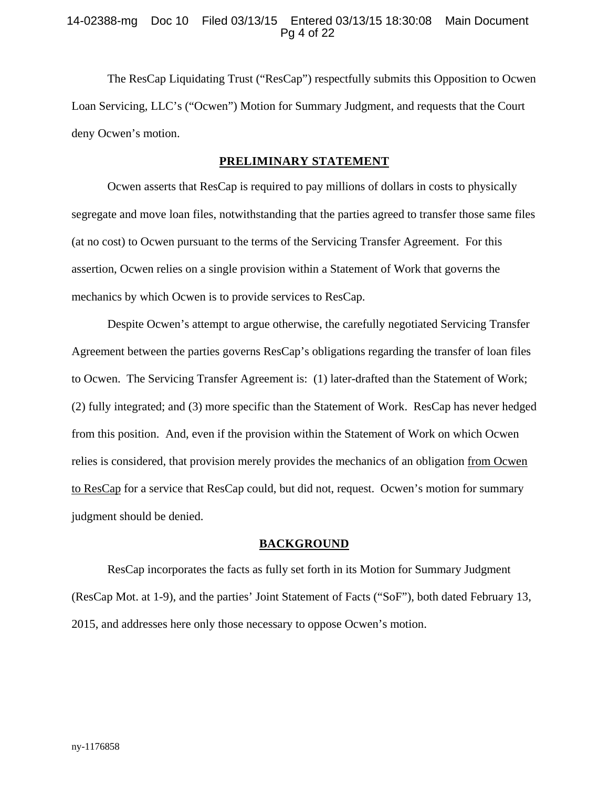## 14-02388-mg Doc 10 Filed 03/13/15 Entered 03/13/15 18:30:08 Main Document Pg 4 of 22

The ResCap Liquidating Trust ("ResCap") respectfully submits this Opposition to Ocwen Loan Servicing, LLC's ("Ocwen") Motion for Summary Judgment, and requests that the Court deny Ocwen's motion.

### **PRELIMINARY STATEMENT**

Ocwen asserts that ResCap is required to pay millions of dollars in costs to physically segregate and move loan files, notwithstanding that the parties agreed to transfer those same files (at no cost) to Ocwen pursuant to the terms of the Servicing Transfer Agreement. For this assertion, Ocwen relies on a single provision within a Statement of Work that governs the mechanics by which Ocwen is to provide services to ResCap.

Despite Ocwen's attempt to argue otherwise, the carefully negotiated Servicing Transfer Agreement between the parties governs ResCap's obligations regarding the transfer of loan files to Ocwen. The Servicing Transfer Agreement is: (1) later-drafted than the Statement of Work; (2) fully integrated; and (3) more specific than the Statement of Work. ResCap has never hedged from this position. And, even if the provision within the Statement of Work on which Ocwen relies is considered, that provision merely provides the mechanics of an obligation from Ocwen to ResCap for a service that ResCap could, but did not, request. Ocwen's motion for summary judgment should be denied.

### **BACKGROUND**

ResCap incorporates the facts as fully set forth in its Motion for Summary Judgment (ResCap Mot. at 1-9), and the parties' Joint Statement of Facts ("SoF"), both dated February 13, 2015, and addresses here only those necessary to oppose Ocwen's motion.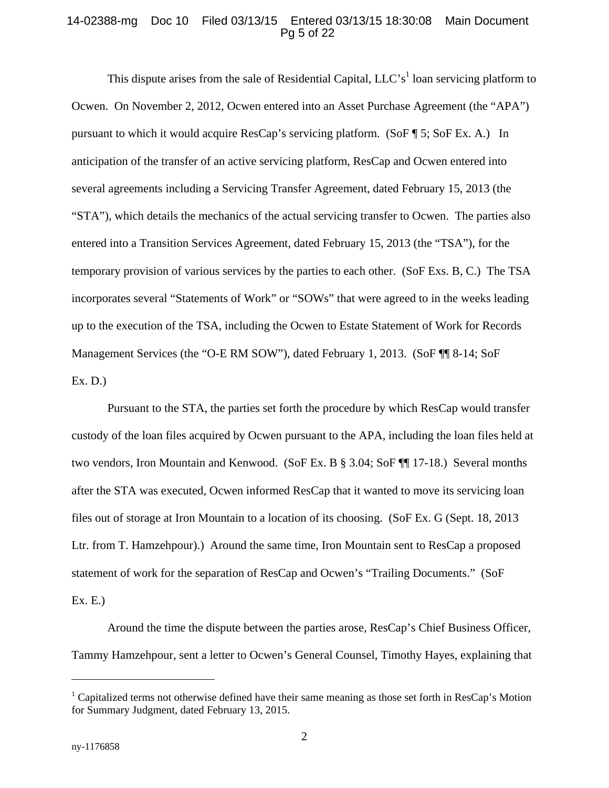### 14-02388-mg Doc 10 Filed 03/13/15 Entered 03/13/15 18:30:08 Main Document Pg 5 of 22

This dispute arises from the sale of Residential Capital,  $LLC's<sup>1</sup>$  loan servicing platform to Ocwen. On November 2, 2012, Ocwen entered into an Asset Purchase Agreement (the "APA") pursuant to which it would acquire ResCap's servicing platform. (SoF ¶ 5; SoF Ex. A.) In anticipation of the transfer of an active servicing platform, ResCap and Ocwen entered into several agreements including a Servicing Transfer Agreement, dated February 15, 2013 (the "STA"), which details the mechanics of the actual servicing transfer to Ocwen. The parties also entered into a Transition Services Agreement, dated February 15, 2013 (the "TSA"), for the temporary provision of various services by the parties to each other. (SoF Exs. B, C.) The TSA incorporates several "Statements of Work" or "SOWs" that were agreed to in the weeks leading up to the execution of the TSA, including the Ocwen to Estate Statement of Work for Records Management Services (the "O-E RM SOW"), dated February 1, 2013. (SoF ¶¶ 8-14; SoF Ex. D.)

Pursuant to the STA, the parties set forth the procedure by which ResCap would transfer custody of the loan files acquired by Ocwen pursuant to the APA, including the loan files held at two vendors, Iron Mountain and Kenwood. (SoF Ex. B § 3.04; SoF ¶¶ 17-18.) Several months after the STA was executed, Ocwen informed ResCap that it wanted to move its servicing loan files out of storage at Iron Mountain to a location of its choosing. (SoF Ex. G (Sept. 18, 2013 Ltr. from T. Hamzehpour).) Around the same time, Iron Mountain sent to ResCap a proposed statement of work for the separation of ResCap and Ocwen's "Trailing Documents." (SoF Ex. E.)

Around the time the dispute between the parties arose, ResCap's Chief Business Officer, Tammy Hamzehpour, sent a letter to Ocwen's General Counsel, Timothy Hayes, explaining that

 $\overline{a}$ 

<sup>&</sup>lt;sup>1</sup> Capitalized terms not otherwise defined have their same meaning as those set forth in ResCap's Motion for Summary Judgment, dated February 13, 2015.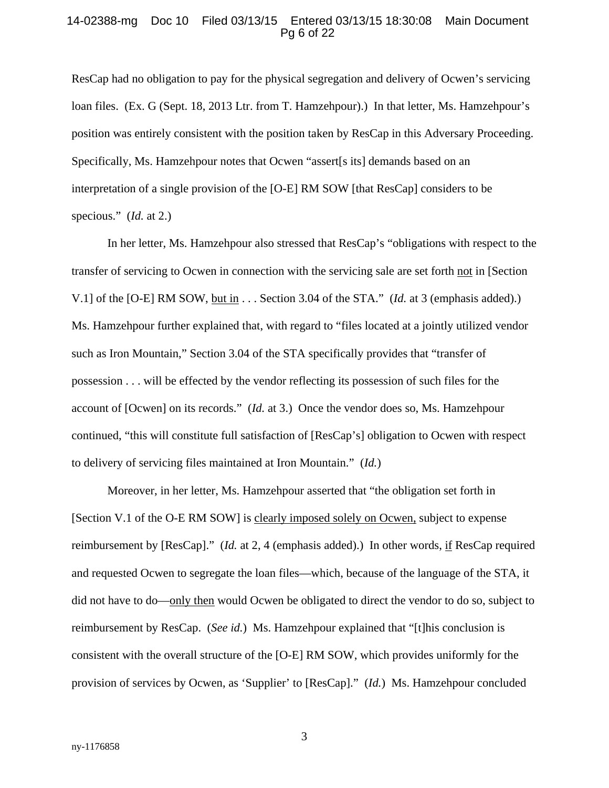#### 14-02388-mg Doc 10 Filed 03/13/15 Entered 03/13/15 18:30:08 Main Document Pg 6 of 22

ResCap had no obligation to pay for the physical segregation and delivery of Ocwen's servicing loan files. (Ex. G (Sept. 18, 2013 Ltr. from T. Hamzehpour).) In that letter, Ms. Hamzehpour's position was entirely consistent with the position taken by ResCap in this Adversary Proceeding. Specifically, Ms. Hamzehpour notes that Ocwen "assert[s its] demands based on an interpretation of a single provision of the [O-E] RM SOW [that ResCap] considers to be specious." (*Id.* at 2.)

In her letter, Ms. Hamzehpour also stressed that ResCap's "obligations with respect to the transfer of servicing to Ocwen in connection with the servicing sale are set forth not in [Section V.1] of the [O-E] RM SOW, but in . . . Section 3.04 of the STA." (*Id.* at 3 (emphasis added).) Ms. Hamzehpour further explained that, with regard to "files located at a jointly utilized vendor such as Iron Mountain," Section 3.04 of the STA specifically provides that "transfer of possession . . . will be effected by the vendor reflecting its possession of such files for the account of [Ocwen] on its records." (*Id.* at 3.) Once the vendor does so, Ms. Hamzehpour continued, "this will constitute full satisfaction of [ResCap's] obligation to Ocwen with respect to delivery of servicing files maintained at Iron Mountain." (*Id.*)

Moreover, in her letter, Ms. Hamzehpour asserted that "the obligation set forth in [Section V.1 of the O-E RM SOW] is clearly imposed solely on Ocwen, subject to expense reimbursement by [ResCap]." (*Id.* at 2, 4 (emphasis added).) In other words, if ResCap required and requested Ocwen to segregate the loan files—which, because of the language of the STA, it did not have to do—only then would Ocwen be obligated to direct the vendor to do so, subject to reimbursement by ResCap. (*See id.*) Ms. Hamzehpour explained that "[t]his conclusion is consistent with the overall structure of the [O-E] RM SOW, which provides uniformly for the provision of services by Ocwen, as 'Supplier' to [ResCap]." (*Id.*) Ms. Hamzehpour concluded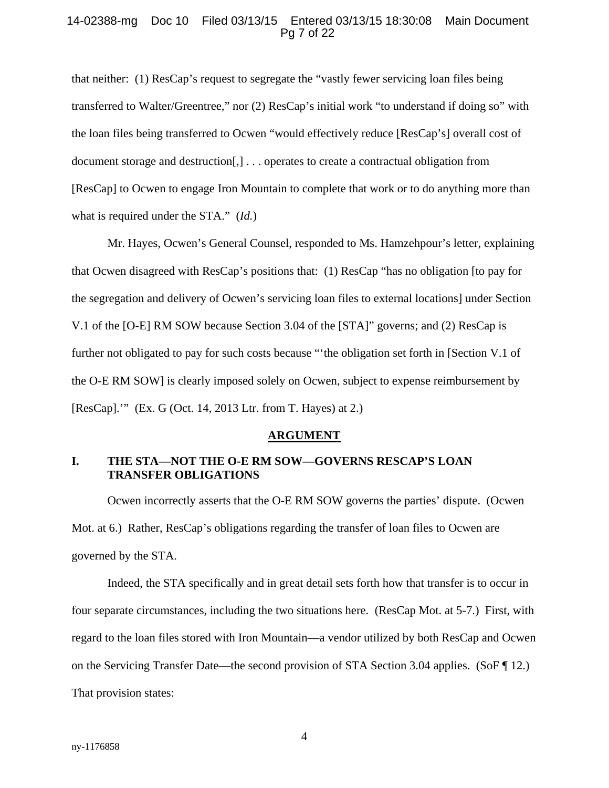### 14-02388-mg Doc 10 Filed 03/13/15 Entered 03/13/15 18:30:08 Main Document Pg 7 of 22

that neither: (1) ResCap's request to segregate the "vastly fewer servicing loan files being transferred to Walter/Greentree," nor (2) ResCap's initial work "to understand if doing so" with the loan files being transferred to Ocwen "would effectively reduce [ResCap's] overall cost of document storage and destruction[,] . . . operates to create a contractual obligation from [ResCap] to Ocwen to engage Iron Mountain to complete that work or to do anything more than what is required under the STA." (*Id.*)

Mr. Hayes, Ocwen's General Counsel, responded to Ms. Hamzehpour's letter, explaining that Ocwen disagreed with ResCap's positions that: (1) ResCap "has no obligation [to pay for the segregation and delivery of Ocwen's servicing loan files to external locations] under Section V.1 of the [O-E] RM SOW because Section 3.04 of the [STA]" governs; and (2) ResCap is further not obligated to pay for such costs because "'the obligation set forth in [Section V.1 of the O-E RM SOW] is clearly imposed solely on Ocwen, subject to expense reimbursement by [ResCap].'" (Ex. G (Oct. 14, 2013 Ltr. from T. Hayes) at 2.)

#### **ARGUMENT**

# **I. THE STA—NOT THE O-E RM SOW—GOVERNS RESCAP'S LOAN TRANSFER OBLIGATIONS**

Ocwen incorrectly asserts that the O-E RM SOW governs the parties' dispute. (Ocwen Mot. at 6.) Rather, ResCap's obligations regarding the transfer of loan files to Ocwen are governed by the STA.

Indeed, the STA specifically and in great detail sets forth how that transfer is to occur in four separate circumstances, including the two situations here. (ResCap Mot. at 5-7.) First, with regard to the loan files stored with Iron Mountain—a vendor utilized by both ResCap and Ocwen on the Servicing Transfer Date—the second provision of STA Section 3.04 applies. (SoF ¶ 12.) That provision states: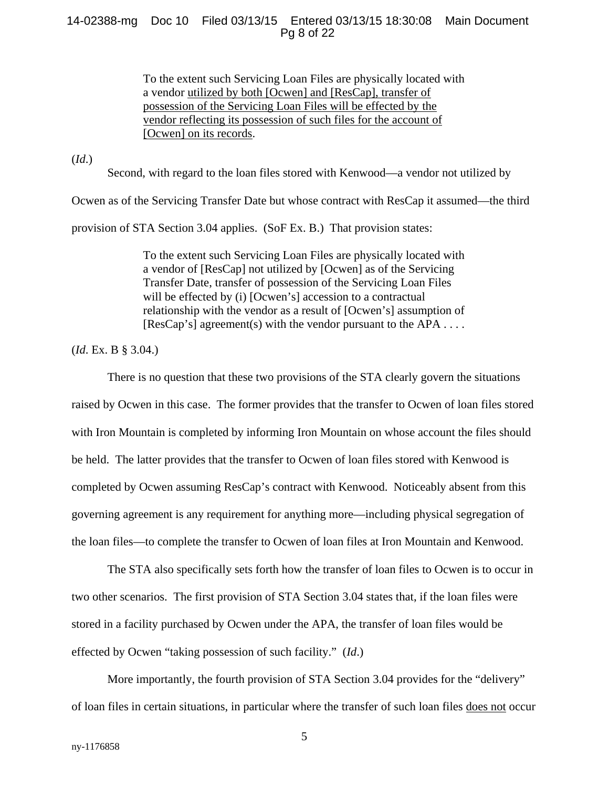## 14-02388-mg Doc 10 Filed 03/13/15 Entered 03/13/15 18:30:08 Main Document Pg 8 of 22

To the extent such Servicing Loan Files are physically located with a vendor utilized by both [Ocwen] and [ResCap], transfer of possession of the Servicing Loan Files will be effected by the vendor reflecting its possession of such files for the account of [Ocwen] on its records.

(*Id*.)

Second, with regard to the loan files stored with Kenwood—a vendor not utilized by

Ocwen as of the Servicing Transfer Date but whose contract with ResCap it assumed—the third

provision of STA Section 3.04 applies. (SoF Ex. B.) That provision states:

To the extent such Servicing Loan Files are physically located with a vendor of [ResCap] not utilized by [Ocwen] as of the Servicing Transfer Date, transfer of possession of the Servicing Loan Files will be effected by (i) [Ocwen's] accession to a contractual relationship with the vendor as a result of [Ocwen's] assumption of  $[ResCap's]$  agreement(s) with the vendor pursuant to the APA ....

(*Id*. Ex. B § 3.04.)

There is no question that these two provisions of the STA clearly govern the situations raised by Ocwen in this case. The former provides that the transfer to Ocwen of loan files stored with Iron Mountain is completed by informing Iron Mountain on whose account the files should be held. The latter provides that the transfer to Ocwen of loan files stored with Kenwood is completed by Ocwen assuming ResCap's contract with Kenwood. Noticeably absent from this governing agreement is any requirement for anything more—including physical segregation of the loan files—to complete the transfer to Ocwen of loan files at Iron Mountain and Kenwood.

The STA also specifically sets forth how the transfer of loan files to Ocwen is to occur in two other scenarios. The first provision of STA Section 3.04 states that, if the loan files were stored in a facility purchased by Ocwen under the APA, the transfer of loan files would be effected by Ocwen "taking possession of such facility." (*Id*.)

More importantly, the fourth provision of STA Section 3.04 provides for the "delivery" of loan files in certain situations, in particular where the transfer of such loan files does not occur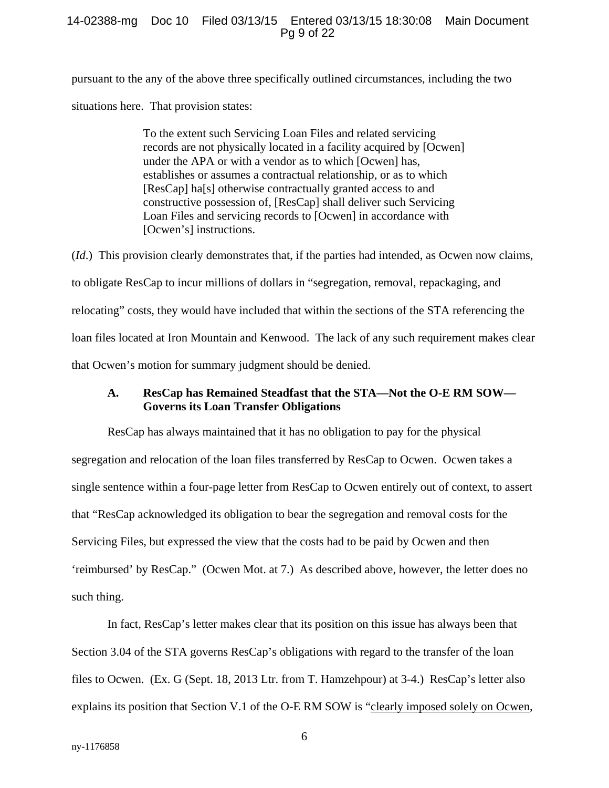### 14-02388-mg Doc 10 Filed 03/13/15 Entered 03/13/15 18:30:08 Main Document Pg 9 of 22

pursuant to the any of the above three specifically outlined circumstances, including the two situations here. That provision states:

> To the extent such Servicing Loan Files and related servicing records are not physically located in a facility acquired by [Ocwen] under the APA or with a vendor as to which [Ocwen] has, establishes or assumes a contractual relationship, or as to which [ResCap] ha[s] otherwise contractually granted access to and constructive possession of, [ResCap] shall deliver such Servicing Loan Files and servicing records to [Ocwen] in accordance with [Ocwen's] instructions.

(*Id*.) This provision clearly demonstrates that, if the parties had intended, as Ocwen now claims, to obligate ResCap to incur millions of dollars in "segregation, removal, repackaging, and relocating" costs, they would have included that within the sections of the STA referencing the loan files located at Iron Mountain and Kenwood. The lack of any such requirement makes clear that Ocwen's motion for summary judgment should be denied.

## **A. ResCap has Remained Steadfast that the STA—Not the O-E RM SOW— Governs its Loan Transfer Obligations**

ResCap has always maintained that it has no obligation to pay for the physical segregation and relocation of the loan files transferred by ResCap to Ocwen. Ocwen takes a single sentence within a four-page letter from ResCap to Ocwen entirely out of context, to assert that "ResCap acknowledged its obligation to bear the segregation and removal costs for the Servicing Files, but expressed the view that the costs had to be paid by Ocwen and then 'reimbursed' by ResCap." (Ocwen Mot. at 7.) As described above, however, the letter does no such thing.

In fact, ResCap's letter makes clear that its position on this issue has always been that Section 3.04 of the STA governs ResCap's obligations with regard to the transfer of the loan files to Ocwen. (Ex. G (Sept. 18, 2013 Ltr. from T. Hamzehpour) at 3-4.) ResCap's letter also explains its position that Section V.1 of the O-E RM SOW is "clearly imposed solely on Ocwen,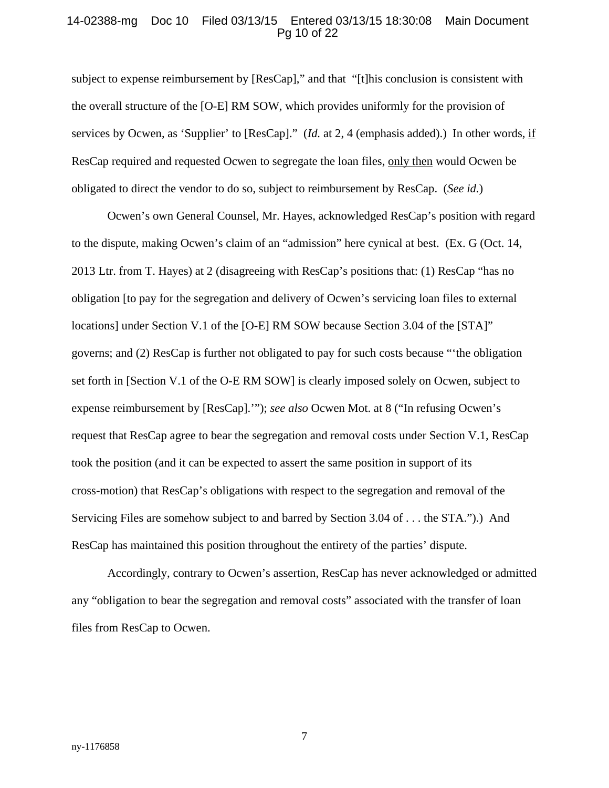### 14-02388-mg Doc 10 Filed 03/13/15 Entered 03/13/15 18:30:08 Main Document Pg 10 of 22

subject to expense reimbursement by [ResCap]," and that "[t]his conclusion is consistent with the overall structure of the [O-E] RM SOW, which provides uniformly for the provision of services by Ocwen, as 'Supplier' to [ResCap]." (*Id.* at 2, 4 (emphasis added).) In other words, if ResCap required and requested Ocwen to segregate the loan files, only then would Ocwen be obligated to direct the vendor to do so, subject to reimbursement by ResCap. (*See id.*)

Ocwen's own General Counsel, Mr. Hayes, acknowledged ResCap's position with regard to the dispute, making Ocwen's claim of an "admission" here cynical at best. (Ex. G (Oct. 14, 2013 Ltr. from T. Hayes) at 2 (disagreeing with ResCap's positions that: (1) ResCap "has no obligation [to pay for the segregation and delivery of Ocwen's servicing loan files to external locations] under Section V.1 of the [O-E] RM SOW because Section 3.04 of the [STA]" governs; and (2) ResCap is further not obligated to pay for such costs because "'the obligation set forth in [Section V.1 of the O-E RM SOW] is clearly imposed solely on Ocwen, subject to expense reimbursement by [ResCap].'"); *see also* Ocwen Mot. at 8 ("In refusing Ocwen's request that ResCap agree to bear the segregation and removal costs under Section V.1, ResCap took the position (and it can be expected to assert the same position in support of its cross-motion) that ResCap's obligations with respect to the segregation and removal of the Servicing Files are somehow subject to and barred by Section 3.04 of . . . the STA.").) And ResCap has maintained this position throughout the entirety of the parties' dispute.

Accordingly, contrary to Ocwen's assertion, ResCap has never acknowledged or admitted any "obligation to bear the segregation and removal costs" associated with the transfer of loan files from ResCap to Ocwen.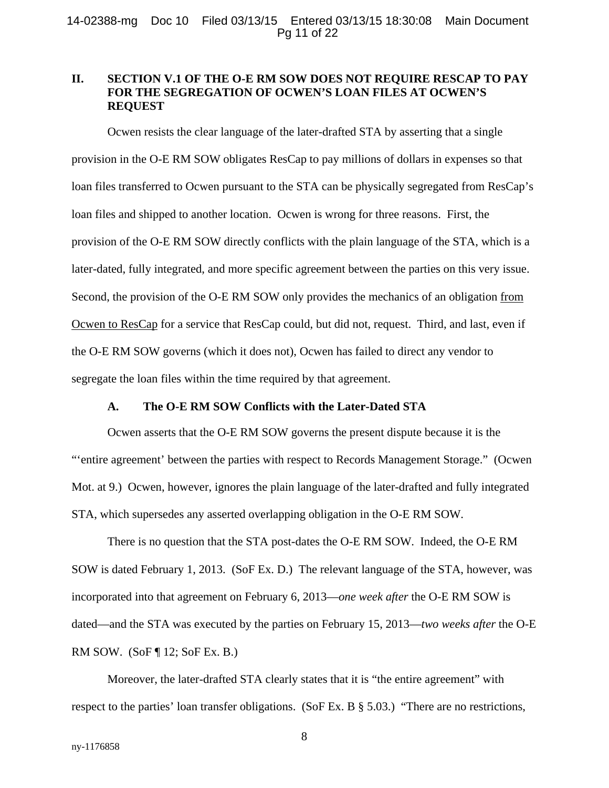# **II. SECTION V.1 OF THE O-E RM SOW DOES NOT REQUIRE RESCAP TO PAY FOR THE SEGREGATION OF OCWEN'S LOAN FILES AT OCWEN'S REQUEST**

Ocwen resists the clear language of the later-drafted STA by asserting that a single provision in the O-E RM SOW obligates ResCap to pay millions of dollars in expenses so that loan files transferred to Ocwen pursuant to the STA can be physically segregated from ResCap's loan files and shipped to another location. Ocwen is wrong for three reasons. First, the provision of the O-E RM SOW directly conflicts with the plain language of the STA, which is a later-dated, fully integrated, and more specific agreement between the parties on this very issue. Second, the provision of the O-E RM SOW only provides the mechanics of an obligation from Ocwen to ResCap for a service that ResCap could, but did not, request. Third, and last, even if the O-E RM SOW governs (which it does not), Ocwen has failed to direct any vendor to segregate the loan files within the time required by that agreement.

# **A. The O-E RM SOW Conflicts with the Later-Dated STA**

Ocwen asserts that the O-E RM SOW governs the present dispute because it is the "'entire agreement' between the parties with respect to Records Management Storage." (Ocwen Mot. at 9.) Ocwen, however, ignores the plain language of the later-drafted and fully integrated STA, which supersedes any asserted overlapping obligation in the O-E RM SOW.

There is no question that the STA post-dates the O-E RM SOW. Indeed, the O-E RM SOW is dated February 1, 2013. (SoF Ex. D.) The relevant language of the STA, however, was incorporated into that agreement on February 6, 2013—*one week after* the O-E RM SOW is dated—and the STA was executed by the parties on February 15, 2013—*two weeks after* the O-E RM SOW. (SoF ¶ 12; SoF Ex. B.)

Moreover, the later-drafted STA clearly states that it is "the entire agreement" with respect to the parties' loan transfer obligations. (SoF Ex. B § 5.03.) "There are no restrictions,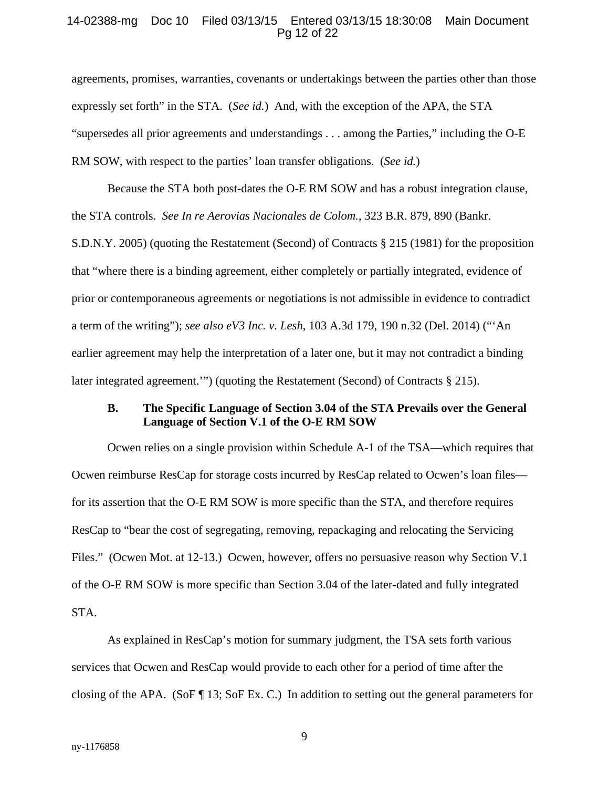#### 14-02388-mg Doc 10 Filed 03/13/15 Entered 03/13/15 18:30:08 Main Document Pg 12 of 22

agreements, promises, warranties, covenants or undertakings between the parties other than those expressly set forth" in the STA. (*See id.*) And, with the exception of the APA, the STA "supersedes all prior agreements and understandings . . . among the Parties," including the O-E RM SOW, with respect to the parties' loan transfer obligations. (*See id.*)

Because the STA both post-dates the O-E RM SOW and has a robust integration clause, the STA controls. *See In re Aerovias Nacionales de Colom.*, 323 B.R. 879, 890 (Bankr. S.D.N.Y. 2005) (quoting the Restatement (Second) of Contracts § 215 (1981) for the proposition that "where there is a binding agreement, either completely or partially integrated, evidence of prior or contemporaneous agreements or negotiations is not admissible in evidence to contradict a term of the writing"); *see also eV3 Inc. v. Lesh*, 103 A.3d 179, 190 n.32 (Del. 2014) ("'An earlier agreement may help the interpretation of a later one, but it may not contradict a binding later integrated agreement.'") (quoting the Restatement (Second) of Contracts § 215).

# **B. The Specific Language of Section 3.04 of the STA Prevails over the General Language of Section V.1 of the O-E RM SOW**

Ocwen relies on a single provision within Schedule A-1 of the TSA—which requires that Ocwen reimburse ResCap for storage costs incurred by ResCap related to Ocwen's loan files for its assertion that the O-E RM SOW is more specific than the STA, and therefore requires ResCap to "bear the cost of segregating, removing, repackaging and relocating the Servicing Files." (Ocwen Mot. at 12-13.) Ocwen, however, offers no persuasive reason why Section V.1 of the O-E RM SOW is more specific than Section 3.04 of the later-dated and fully integrated STA.

As explained in ResCap's motion for summary judgment, the TSA sets forth various services that Ocwen and ResCap would provide to each other for a period of time after the closing of the APA. (SoF ¶ 13; SoF Ex. C.) In addition to setting out the general parameters for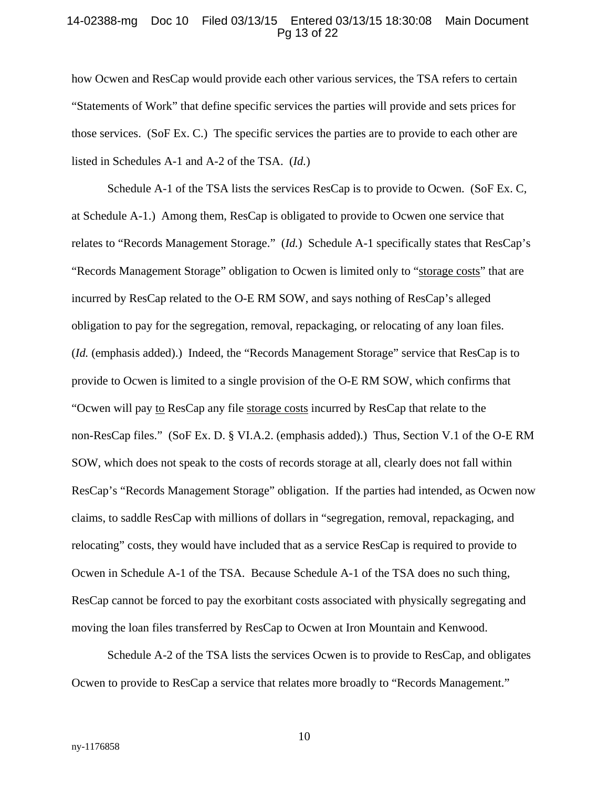### 14-02388-mg Doc 10 Filed 03/13/15 Entered 03/13/15 18:30:08 Main Document Pg 13 of 22

how Ocwen and ResCap would provide each other various services, the TSA refers to certain "Statements of Work" that define specific services the parties will provide and sets prices for those services. (SoF Ex. C.) The specific services the parties are to provide to each other are listed in Schedules A-1 and A-2 of the TSA. (*Id.*)

Schedule A-1 of the TSA lists the services ResCap is to provide to Ocwen. (SoF Ex. C, at Schedule A-1.) Among them, ResCap is obligated to provide to Ocwen one service that relates to "Records Management Storage." (*Id.*) Schedule A-1 specifically states that ResCap's "Records Management Storage" obligation to Ocwen is limited only to "storage costs" that are incurred by ResCap related to the O-E RM SOW, and says nothing of ResCap's alleged obligation to pay for the segregation, removal, repackaging, or relocating of any loan files. (*Id.* (emphasis added).) Indeed, the "Records Management Storage" service that ResCap is to provide to Ocwen is limited to a single provision of the O-E RM SOW, which confirms that "Ocwen will pay to ResCap any file storage costs incurred by ResCap that relate to the non-ResCap files." (SoF Ex. D. § VI.A.2. (emphasis added).) Thus, Section V.1 of the O-E RM SOW, which does not speak to the costs of records storage at all, clearly does not fall within ResCap's "Records Management Storage" obligation. If the parties had intended, as Ocwen now claims, to saddle ResCap with millions of dollars in "segregation, removal, repackaging, and relocating" costs, they would have included that as a service ResCap is required to provide to Ocwen in Schedule A-1 of the TSA. Because Schedule A-1 of the TSA does no such thing, ResCap cannot be forced to pay the exorbitant costs associated with physically segregating and moving the loan files transferred by ResCap to Ocwen at Iron Mountain and Kenwood.

Schedule A-2 of the TSA lists the services Ocwen is to provide to ResCap, and obligates Ocwen to provide to ResCap a service that relates more broadly to "Records Management."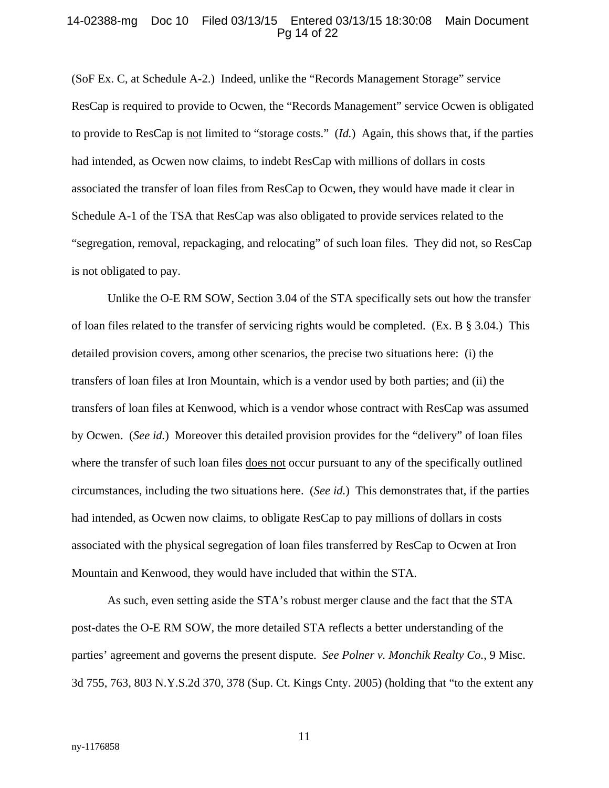#### 14-02388-mg Doc 10 Filed 03/13/15 Entered 03/13/15 18:30:08 Main Document Pg 14 of 22

(SoF Ex. C, at Schedule A-2.) Indeed, unlike the "Records Management Storage" service ResCap is required to provide to Ocwen, the "Records Management" service Ocwen is obligated to provide to ResCap is not limited to "storage costs." (*Id.*) Again, this shows that, if the parties had intended, as Ocwen now claims, to indebt ResCap with millions of dollars in costs associated the transfer of loan files from ResCap to Ocwen, they would have made it clear in Schedule A-1 of the TSA that ResCap was also obligated to provide services related to the "segregation, removal, repackaging, and relocating" of such loan files. They did not, so ResCap is not obligated to pay.

Unlike the O-E RM SOW, Section 3.04 of the STA specifically sets out how the transfer of loan files related to the transfer of servicing rights would be completed. (Ex. B § 3.04.) This detailed provision covers, among other scenarios, the precise two situations here: (i) the transfers of loan files at Iron Mountain, which is a vendor used by both parties; and (ii) the transfers of loan files at Kenwood, which is a vendor whose contract with ResCap was assumed by Ocwen. (*See id.*) Moreover this detailed provision provides for the "delivery" of loan files where the transfer of such loan files does not occur pursuant to any of the specifically outlined circumstances, including the two situations here. (*See id.*) This demonstrates that, if the parties had intended, as Ocwen now claims, to obligate ResCap to pay millions of dollars in costs associated with the physical segregation of loan files transferred by ResCap to Ocwen at Iron Mountain and Kenwood, they would have included that within the STA.

As such, even setting aside the STA's robust merger clause and the fact that the STA post-dates the O-E RM SOW, the more detailed STA reflects a better understanding of the parties' agreement and governs the present dispute. *See Polner v. Monchik Realty Co.*, 9 Misc. 3d 755, 763, 803 N.Y.S.2d 370, 378 (Sup. Ct. Kings Cnty. 2005) (holding that "to the extent any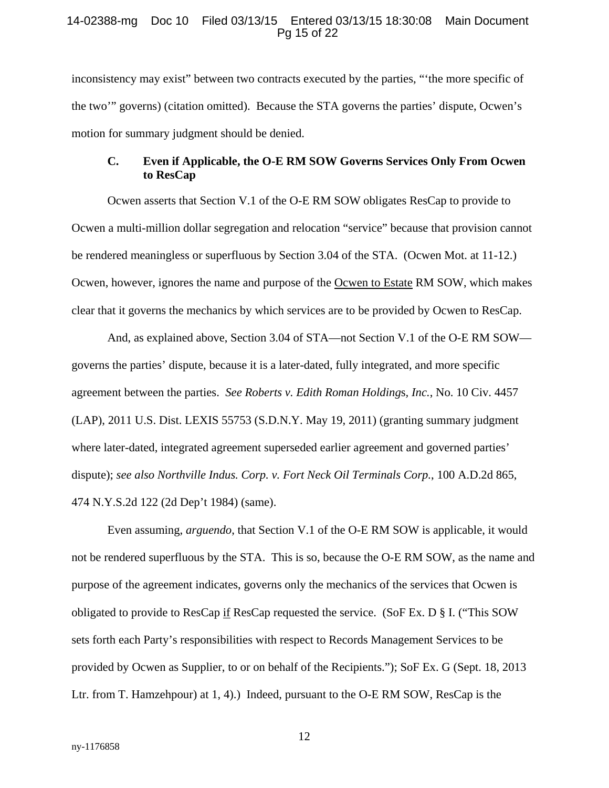### 14-02388-mg Doc 10 Filed 03/13/15 Entered 03/13/15 18:30:08 Main Document Pg 15 of 22

inconsistency may exist" between two contracts executed by the parties, "'the more specific of the two'" governs) (citation omitted). Because the STA governs the parties' dispute, Ocwen's motion for summary judgment should be denied.

# **C. Even if Applicable, the O-E RM SOW Governs Services Only From Ocwen to ResCap**

Ocwen asserts that Section V.1 of the O-E RM SOW obligates ResCap to provide to Ocwen a multi-million dollar segregation and relocation "service" because that provision cannot be rendered meaningless or superfluous by Section 3.04 of the STA. (Ocwen Mot. at 11-12.) Ocwen, however, ignores the name and purpose of the Ocwen to Estate RM SOW, which makes clear that it governs the mechanics by which services are to be provided by Ocwen to ResCap.

And, as explained above, Section 3.04 of STA—not Section V.1 of the O-E RM SOW governs the parties' dispute, because it is a later-dated, fully integrated, and more specific agreement between the parties. *See Roberts v. Edith Roman Holding*s*, Inc.*, No. 10 Civ. 4457 (LAP), 2011 U.S. Dist. LEXIS 55753 (S.D.N.Y. May 19, 2011) (granting summary judgment where later-dated, integrated agreement superseded earlier agreement and governed parties' dispute); *see also Northville Indus. Corp. v. Fort Neck Oil Terminals Corp.*, 100 A.D.2d 865, 474 N.Y.S.2d 122 (2d Dep't 1984) (same).

Even assuming, *arguendo*, that Section V.1 of the O-E RM SOW is applicable, it would not be rendered superfluous by the STA. This is so, because the O-E RM SOW, as the name and purpose of the agreement indicates, governs only the mechanics of the services that Ocwen is obligated to provide to ResCap if ResCap requested the service. (SoF Ex. D § I. ("This SOW sets forth each Party's responsibilities with respect to Records Management Services to be provided by Ocwen as Supplier, to or on behalf of the Recipients."); SoF Ex. G (Sept. 18, 2013 Ltr. from T. Hamzehpour) at 1, 4).) Indeed, pursuant to the O-E RM SOW, ResCap is the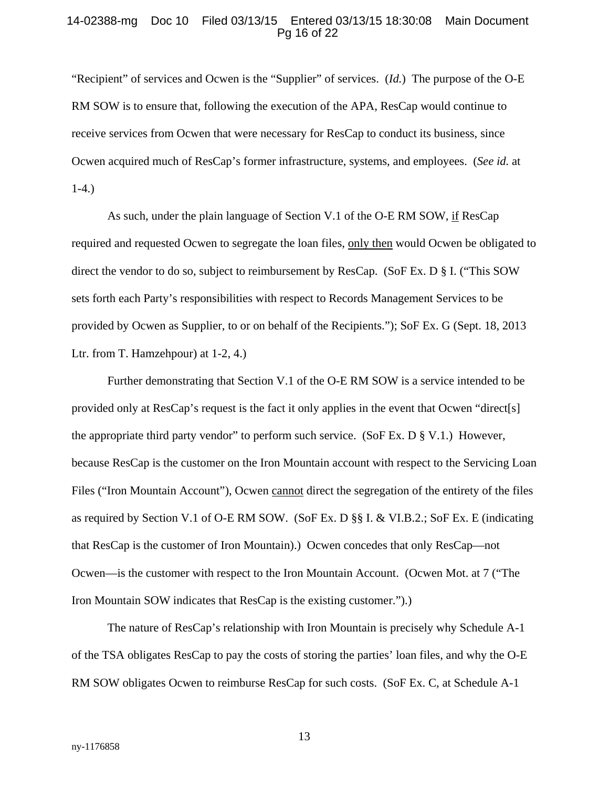### 14-02388-mg Doc 10 Filed 03/13/15 Entered 03/13/15 18:30:08 Main Document Pg 16 of 22

"Recipient" of services and Ocwen is the "Supplier" of services. (*Id.*) The purpose of the O-E RM SOW is to ensure that, following the execution of the APA, ResCap would continue to receive services from Ocwen that were necessary for ResCap to conduct its business, since Ocwen acquired much of ResCap's former infrastructure, systems, and employees. (*See id.* at 1-4.)

As such, under the plain language of Section V.1 of the O-E RM SOW, if ResCap required and requested Ocwen to segregate the loan files, only then would Ocwen be obligated to direct the vendor to do so, subject to reimbursement by ResCap. (SoF Ex. D § I. ("This SOW sets forth each Party's responsibilities with respect to Records Management Services to be provided by Ocwen as Supplier, to or on behalf of the Recipients."); SoF Ex. G (Sept. 18, 2013 Ltr. from T. Hamzehpour) at 1-2, 4.)

Further demonstrating that Section V.1 of the O-E RM SOW is a service intended to be provided only at ResCap's request is the fact it only applies in the event that Ocwen "direct[s] the appropriate third party vendor" to perform such service. (SoF Ex. D  $\S$  V.1.) However, because ResCap is the customer on the Iron Mountain account with respect to the Servicing Loan Files ("Iron Mountain Account"), Ocwen cannot direct the segregation of the entirety of the files as required by Section V.1 of O-E RM SOW. (SoF Ex. D §§ I. & VI.B.2.; SoF Ex. E (indicating that ResCap is the customer of Iron Mountain).) Ocwen concedes that only ResCap—not Ocwen—is the customer with respect to the Iron Mountain Account. (Ocwen Mot. at 7 ("The Iron Mountain SOW indicates that ResCap is the existing customer.").)

The nature of ResCap's relationship with Iron Mountain is precisely why Schedule A-1 of the TSA obligates ResCap to pay the costs of storing the parties' loan files, and why the O-E RM SOW obligates Ocwen to reimburse ResCap for such costs. (SoF Ex. C, at Schedule A-1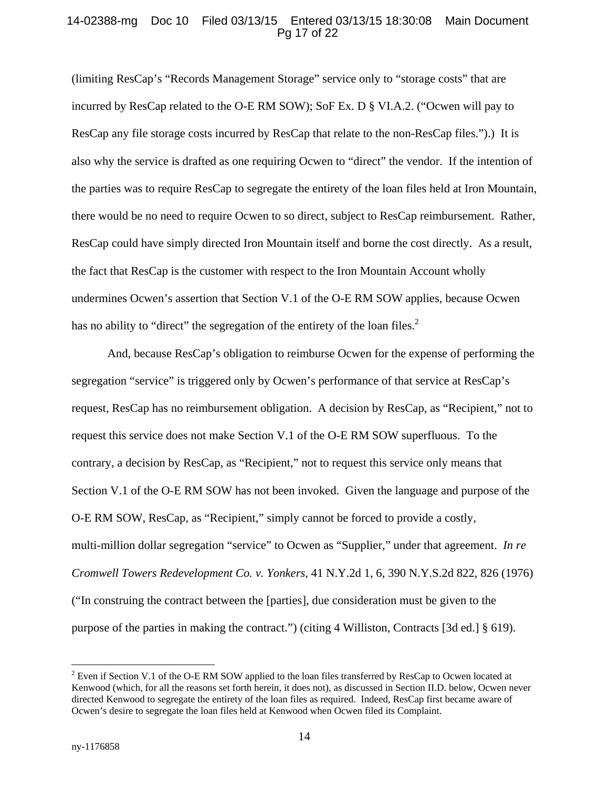## 14-02388-mg Doc 10 Filed 03/13/15 Entered 03/13/15 18:30:08 Main Document Pg 17 of 22

(limiting ResCap's "Records Management Storage" service only to "storage costs" that are incurred by ResCap related to the O-E RM SOW); SoF Ex. D § VI.A.2. ("Ocwen will pay to ResCap any file storage costs incurred by ResCap that relate to the non-ResCap files.").) It is also why the service is drafted as one requiring Ocwen to "direct" the vendor. If the intention of the parties was to require ResCap to segregate the entirety of the loan files held at Iron Mountain, there would be no need to require Ocwen to so direct, subject to ResCap reimbursement. Rather, ResCap could have simply directed Iron Mountain itself and borne the cost directly. As a result, the fact that ResCap is the customer with respect to the Iron Mountain Account wholly undermines Ocwen's assertion that Section V.1 of the O-E RM SOW applies, because Ocwen has no ability to "direct" the segregation of the entirety of the loan files.<sup>2</sup>

And, because ResCap's obligation to reimburse Ocwen for the expense of performing the segregation "service" is triggered only by Ocwen's performance of that service at ResCap's request, ResCap has no reimbursement obligation. A decision by ResCap, as "Recipient," not to request this service does not make Section V.1 of the O-E RM SOW superfluous. To the contrary, a decision by ResCap, as "Recipient," not to request this service only means that Section V.1 of the O-E RM SOW has not been invoked. Given the language and purpose of the O-E RM SOW, ResCap, as "Recipient," simply cannot be forced to provide a costly, multi-million dollar segregation "service" to Ocwen as "Supplier," under that agreement. *In re Cromwell Towers Redevelopment Co. v. Yonkers*, 41 N.Y.2d 1, 6, 390 N.Y.S.2d 822, 826 (1976) ("In construing the contract between the [parties], due consideration must be given to the purpose of the parties in making the contract.") (citing 4 Williston, Contracts [3d ed.] § 619).

 $\overline{a}$ 

 $2^2$  Even if Section V.1 of the O-E RM SOW applied to the loan files transferred by ResCap to Ocwen located at Kenwood (which, for all the reasons set forth herein, it does not), as discussed in Section II.D. below, Ocwen never directed Kenwood to segregate the entirety of the loan files as required. Indeed, ResCap first became aware of Ocwen's desire to segregate the loan files held at Kenwood when Ocwen filed its Complaint.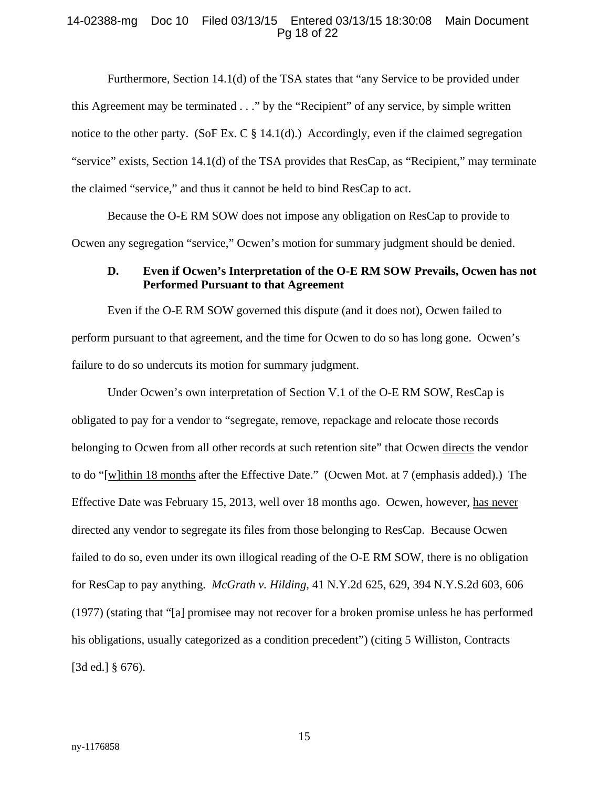### 14-02388-mg Doc 10 Filed 03/13/15 Entered 03/13/15 18:30:08 Main Document Pg 18 of 22

Furthermore, Section 14.1(d) of the TSA states that "any Service to be provided under this Agreement may be terminated . . ." by the "Recipient" of any service, by simple written notice to the other party. (SoF Ex. C  $\S$  14.1(d).) Accordingly, even if the claimed segregation "service" exists, Section 14.1(d) of the TSA provides that ResCap, as "Recipient," may terminate the claimed "service," and thus it cannot be held to bind ResCap to act.

Because the O-E RM SOW does not impose any obligation on ResCap to provide to Ocwen any segregation "service," Ocwen's motion for summary judgment should be denied.

## **D. Even if Ocwen's Interpretation of the O-E RM SOW Prevails, Ocwen has not Performed Pursuant to that Agreement**

Even if the O-E RM SOW governed this dispute (and it does not), Ocwen failed to perform pursuant to that agreement, and the time for Ocwen to do so has long gone. Ocwen's failure to do so undercuts its motion for summary judgment.

Under Ocwen's own interpretation of Section V.1 of the O-E RM SOW, ResCap is obligated to pay for a vendor to "segregate, remove, repackage and relocate those records belonging to Ocwen from all other records at such retention site" that Ocwen directs the vendor to do "[w]ithin 18 months after the Effective Date." (Ocwen Mot. at 7 (emphasis added).) The Effective Date was February 15, 2013, well over 18 months ago. Ocwen, however, has never directed any vendor to segregate its files from those belonging to ResCap. Because Ocwen failed to do so, even under its own illogical reading of the O-E RM SOW, there is no obligation for ResCap to pay anything. *McGrath v. Hilding*, 41 N.Y.2d 625, 629, 394 N.Y.S.2d 603, 606 (1977) (stating that "[a] promisee may not recover for a broken promise unless he has performed his obligations, usually categorized as a condition precedent") (citing 5 Williston, Contracts [3d ed.] § 676).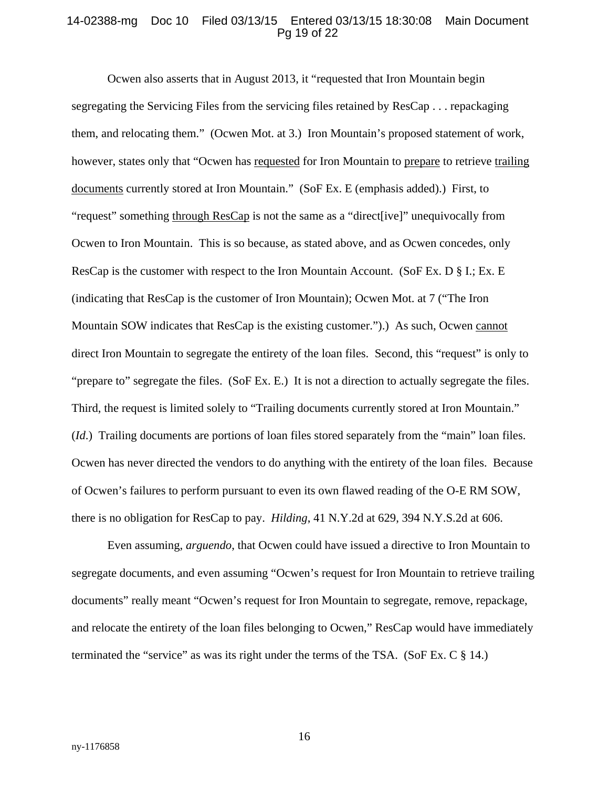#### 14-02388-mg Doc 10 Filed 03/13/15 Entered 03/13/15 18:30:08 Main Document Pg 19 of 22

Ocwen also asserts that in August 2013, it "requested that Iron Mountain begin segregating the Servicing Files from the servicing files retained by ResCap . . . repackaging them, and relocating them." (Ocwen Mot. at 3.) Iron Mountain's proposed statement of work, however, states only that "Ocwen has requested for Iron Mountain to prepare to retrieve trailing documents currently stored at Iron Mountain." (SoF Ex. E (emphasis added).) First, to "request" something through ResCap is not the same as a "direct[ive]" unequivocally from Ocwen to Iron Mountain. This is so because, as stated above, and as Ocwen concedes, only ResCap is the customer with respect to the Iron Mountain Account. (SoF Ex. D § I.; Ex. E (indicating that ResCap is the customer of Iron Mountain); Ocwen Mot. at 7 ("The Iron Mountain SOW indicates that ResCap is the existing customer.").) As such, Ocwen cannot direct Iron Mountain to segregate the entirety of the loan files. Second, this "request" is only to "prepare to" segregate the files. (SoF Ex. E.) It is not a direction to actually segregate the files. Third, the request is limited solely to "Trailing documents currently stored at Iron Mountain." (*Id*.) Trailing documents are portions of loan files stored separately from the "main" loan files. Ocwen has never directed the vendors to do anything with the entirety of the loan files. Because of Ocwen's failures to perform pursuant to even its own flawed reading of the O-E RM SOW, there is no obligation for ResCap to pay. *Hilding*, 41 N.Y.2d at 629, 394 N.Y.S.2d at 606.

Even assuming, *arguendo*, that Ocwen could have issued a directive to Iron Mountain to segregate documents, and even assuming "Ocwen's request for Iron Mountain to retrieve trailing documents" really meant "Ocwen's request for Iron Mountain to segregate, remove, repackage, and relocate the entirety of the loan files belonging to Ocwen," ResCap would have immediately terminated the "service" as was its right under the terms of the TSA. (SoF Ex. C  $\S$  14.)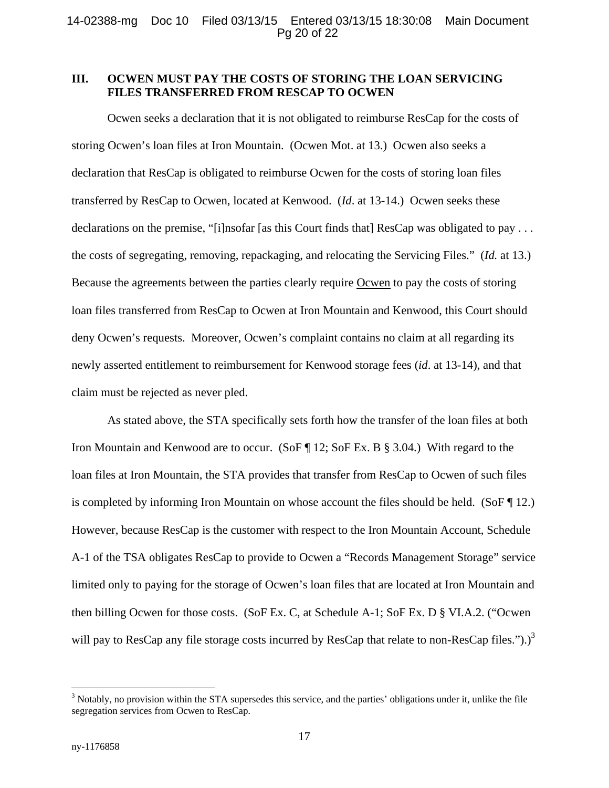# **III. OCWEN MUST PAY THE COSTS OF STORING THE LOAN SERVICING FILES TRANSFERRED FROM RESCAP TO OCWEN**

Ocwen seeks a declaration that it is not obligated to reimburse ResCap for the costs of storing Ocwen's loan files at Iron Mountain. (Ocwen Mot. at 13.) Ocwen also seeks a declaration that ResCap is obligated to reimburse Ocwen for the costs of storing loan files transferred by ResCap to Ocwen, located at Kenwood. (*Id*. at 13-14.) Ocwen seeks these declarations on the premise, "[i]nsofar [as this Court finds that] ResCap was obligated to pay . . . the costs of segregating, removing, repackaging, and relocating the Servicing Files." (*Id.* at 13.) Because the agreements between the parties clearly require Ocwen to pay the costs of storing loan files transferred from ResCap to Ocwen at Iron Mountain and Kenwood, this Court should deny Ocwen's requests. Moreover, Ocwen's complaint contains no claim at all regarding its newly asserted entitlement to reimbursement for Kenwood storage fees (*id*. at 13-14), and that claim must be rejected as never pled.

As stated above, the STA specifically sets forth how the transfer of the loan files at both Iron Mountain and Kenwood are to occur. (SoF ¶ 12; SoF Ex. B § 3.04.) With regard to the loan files at Iron Mountain, the STA provides that transfer from ResCap to Ocwen of such files is completed by informing Iron Mountain on whose account the files should be held. (SoF  $\P$  12.) However, because ResCap is the customer with respect to the Iron Mountain Account, Schedule A-1 of the TSA obligates ResCap to provide to Ocwen a "Records Management Storage" service limited only to paying for the storage of Ocwen's loan files that are located at Iron Mountain and then billing Ocwen for those costs. (SoF Ex. C, at Schedule A-1; SoF Ex. D § VI.A.2. ("Ocwen will pay to ResCap any file storage costs incurred by ResCap that relate to non-ResCap files.").)<sup>3</sup>

 $3$  Notably, no provision within the STA supersedes this service, and the parties' obligations under it, unlike the file segregation services from Ocwen to ResCap.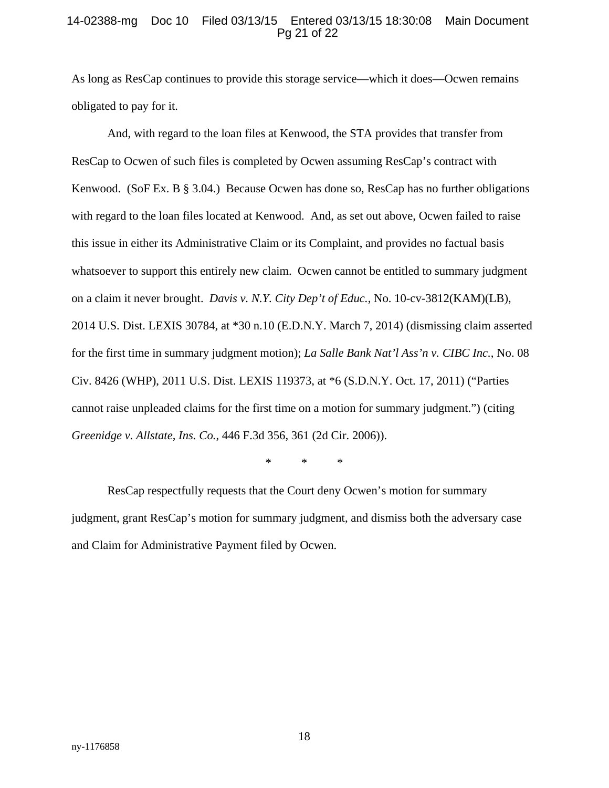### 14-02388-mg Doc 10 Filed 03/13/15 Entered 03/13/15 18:30:08 Main Document Pg 21 of 22

As long as ResCap continues to provide this storage service—which it does—Ocwen remains obligated to pay for it.

And, with regard to the loan files at Kenwood, the STA provides that transfer from ResCap to Ocwen of such files is completed by Ocwen assuming ResCap's contract with Kenwood. (SoF Ex. B § 3.04.) Because Ocwen has done so, ResCap has no further obligations with regard to the loan files located at Kenwood. And, as set out above, Ocwen failed to raise this issue in either its Administrative Claim or its Complaint, and provides no factual basis whatsoever to support this entirely new claim. Ocwen cannot be entitled to summary judgment on a claim it never brought. *Davis v. N.Y. City Dep't of Educ.*, No. 10-cv-3812(KAM)(LB), 2014 U.S. Dist. LEXIS 30784, at \*30 n.10 (E.D.N.Y. March 7, 2014) (dismissing claim asserted for the first time in summary judgment motion); *La Salle Bank Nat'l Ass'n v. CIBC Inc.*, No. 08 Civ. 8426 (WHP), 2011 U.S. Dist. LEXIS 119373, at \*6 (S.D.N.Y. Oct. 17, 2011) ("Parties cannot raise unpleaded claims for the first time on a motion for summary judgment.") (citing *Greenidge v. Allstate, Ins. Co.*, 446 F.3d 356, 361 (2d Cir. 2006)).

\* \* \*

 ResCap respectfully requests that the Court deny Ocwen's motion for summary judgment, grant ResCap's motion for summary judgment, and dismiss both the adversary case and Claim for Administrative Payment filed by Ocwen.